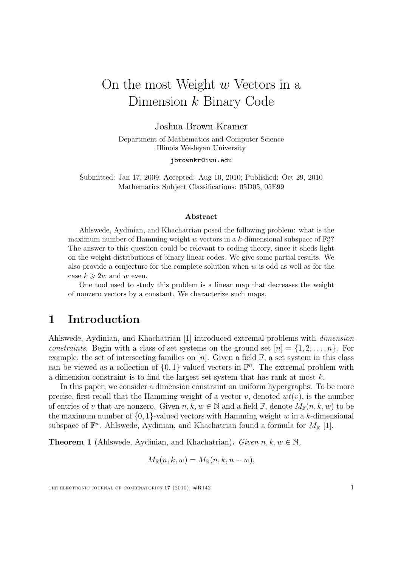# On the most Weight w Vectors in a Dimension k Binary Code

Joshua Brown Kramer

Department of Mathematics and Computer Science Illinois Wesleyan University

jbrownkr@iwu.edu

Submitted: Jan 17, 2009; Accepted: Aug 10, 2010; Published: Oct 29, 2010 Mathematics Subject Classifications: 05D05, 05E99

#### Abstract

Ahlswede, Aydinian, and Khachatrian posed the following problem: what is the maximum number of Hamming weight w vectors in a k-dimensional subspace of  $\mathbb{F}_2^n$ ? The answer to this question could be relevant to coding theory, since it sheds light on the weight distributions of binary linear codes. We give some partial results. We also provide a conjecture for the complete solution when  $w$  is odd as well as for the case  $k \geq 2w$  and w even.

One tool used to study this problem is a linear map that decreases the weight of nonzero vectors by a constant. We characterize such maps.

### 1 Introduction

Ahlswede, Aydinian, and Khachatrian [1] introduced extremal problems with dimension constraints. Begin with a class of set systems on the ground set  $[n] = \{1, 2, \ldots, n\}$ . For example, the set of intersecting families on  $[n]$ . Given a field  $\mathbb{F}$ , a set system in this class can be viewed as a collection of  $\{0, 1\}$ -valued vectors in  $\mathbb{F}^n$ . The extremal problem with a dimension constraint is to find the largest set system that has rank at most  $k$ .

In this paper, we consider a dimension constraint on uniform hypergraphs. To be more precise, first recall that the Hamming weight of a vector v, denoted  $wt(v)$ , is the number of entries of v that are nonzero. Given  $n, k, w \in \mathbb{N}$  and a field  $\mathbb{F}$ , denote  $M_{\mathbb{F}}(n, k, w)$  to be the maximum number of  $\{0, 1\}$ -valued vectors with Hamming weight w in a k-dimensional subspace of  $\mathbb{F}^n$ . Ahlswede, Aydinian, and Khachatrian found a formula for  $M_{\mathbb{R}}$  [1].

**Theorem 1** (Ahlswede, Aydinian, and Khachatrian). Given  $n, k, w \in \mathbb{N}$ ,

$$
M_{\mathbb{R}}(n,k,w) = M_{\mathbb{R}}(n,k,n-w),
$$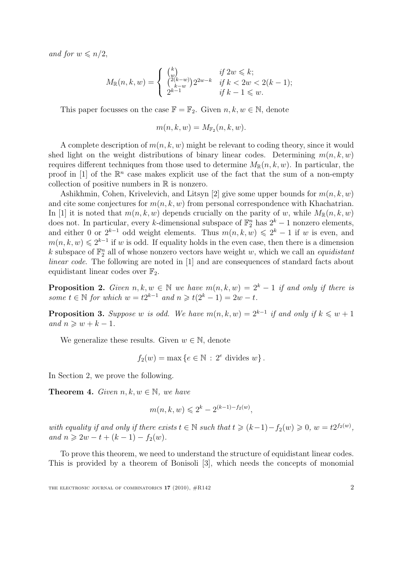and for  $w \leqslant n/2$ ,

$$
M_{\mathbb{R}}(n,k,w) = \begin{cases} {k \choose w} & \text{if } 2w \leq k; \\ {2(k-w) \choose k-w} 2^{2w-k} & \text{if } k < 2w < 2(k-1); \\ 2^{k-1} & \text{if } k-1 \leq w. \end{cases}
$$

This paper focusses on the case  $\mathbb{F} = \mathbb{F}_2$ . Given  $n, k, w \in \mathbb{N}$ , denote

$$
m(n,k,w) = M_{\mathbb{F}_2}(n,k,w).
$$

A complete description of  $m(n, k, w)$  might be relevant to coding theory, since it would shed light on the weight distributions of binary linear codes. Determining  $m(n, k, w)$ requires different techniques from those used to determine  $M_{\mathbb{R}}(n, k, w)$ . In particular, the proof in [1] of the  $\mathbb{R}^n$  case makes explicit use of the fact that the sum of a non-empty collection of positive numbers in  $\mathbb R$  is nonzero.

Ashikhmin, Cohen, Krivelevich, and Litsyn [2] give some upper bounds for  $m(n, k, w)$ and cite some conjectures for  $m(n, k, w)$  from personal correspondence with Khachatrian. In [1] it is noted that  $m(n, k, w)$  depends crucially on the parity of w, while  $M_{\mathbb{R}}(n, k, w)$ does not. In particular, every k-dimensional subspace of  $\mathbb{F}_2^n$  has  $2^k - 1$  nonzero elements, and either 0 or  $2^{k-1}$  odd weight elements. Thus  $m(n, k, w) \leq 2^k - 1$  if w is even, and  $m(n, k, w) \leq 2^{k-1}$  if w is odd. If equality holds in the even case, then there is a dimension k subspace of  $\mathbb{F}_2^n$  all of whose nonzero vectors have weight w, which we call an *equidistant* linear code. The following are noted in [1] and are consequences of standard facts about equidistant linear codes over  $\mathbb{F}_2$ .

**Proposition 2.** Given  $n, k, w \in \mathbb{N}$  we have  $m(n, k, w) = 2<sup>k</sup> - 1$  if and only if there is some  $t \in \mathbb{N}$  for which  $w = t2^{k-1}$  and  $n \ge t(2^k - 1) = 2w - t$ .

**Proposition 3.** Suppose w is odd. We have  $m(n, k, w) = 2^{k-1}$  if and only if  $k \leq w + 1$ and  $n \geqslant w + k - 1$ .

We generalize these results. Given  $w \in \mathbb{N}$ , denote

$$
f_2(w) = \max\left\{e \in \mathbb{N} : 2^e \text{ divides } w\right\}.
$$

In Section 2, we prove the following.

**Theorem 4.** Given  $n, k, w \in \mathbb{N}$ , we have

$$
m(n, k, w) \leq 2^{k} - 2^{(k-1)-f_2(w)},
$$

with equality if and only if there exists  $t \in \mathbb{N}$  such that  $t \geq (k-1) - f_2(w) \geq 0$ ,  $w = t2^{f_2(w)}$ , and  $n \ge 2w - t + (k - 1) - f_2(w)$ .

To prove this theorem, we need to understand the structure of equidistant linear codes. This is provided by a theorem of Bonisoli [3], which needs the concepts of monomial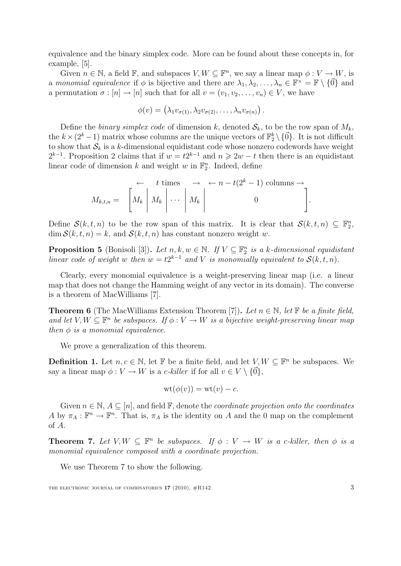equivalence and the binary simplex code. More can be found about these concepts in, for example, [5].

Given  $n \in \mathbb{N}$ , a field  $\mathbb{F}$ , and subspaces  $V, W \subseteq \mathbb{F}^n$ , we say a linear map  $\phi: V \to W$ , is a monomial equivalence if  $\phi$  is bijective and there are  $\lambda_1, \lambda_2, \ldots, \lambda_n \in \mathbb{F}^\times = \mathbb{F} \setminus \{ \vec{0} \}$  and a permutation  $\sigma : [n] \to [n]$  such that for all  $v = (v_1, v_2, \dots, v_n) \in V$ , we have

$$
\phi(v) = (\lambda_1 v_{\sigma(1)}, \lambda_2 v_{\sigma(2)}, \dots, \lambda_n v_{\sigma(n)})
$$

Define the binary simplex code of dimension k, denoted  $S_k$ , to be the row span of  $M_k$ , the  $k \times (2^k - 1)$  matrix whose columns are the unique vectors of  $\mathbb{F}_2^k \setminus \{ \vec{0} \}$ . It is not difficult to show that  $S_k$  is a k-dimensional equidistant code whose nonzero codewords have weight  $2^{k-1}$ . Proposition 2 claims that if  $w = t2^{k-1}$  and  $n \geq 2w - t$  then there is an equidistant linear code of dimension  $k$  and weight  $w$  in  $\mathbb{F}_2^n$ . Indeed, define

← t times → ← n − t(2<sup>k</sup> − 1) columns → Mk,t,n = " M<sup>k</sup> M<sup>k</sup> · · · M<sup>k</sup> 0 # .

Define  $\mathcal{S}(k, t, n)$  to be the row span of this matrix. It is clear that  $\mathcal{S}(k, t, n) \subseteq \mathbb{F}_2^n$ ,  $\dim \mathcal{S}(k, t, n) = k$ , and  $\mathcal{S}(k, t, n)$  has constant nonzero weight w.

**Proposition 5** (Bonisoli [3]). Let  $n, k, w \in \mathbb{N}$ . If  $V \subseteq \mathbb{F}_2^n$  is a k-dimensional equidistant linear code of weight w then  $w = t2^{k-1}$  and V is monomially equivalent to  $\mathcal{S}(k, t, n)$ .

Clearly, every monomial equivalence is a weight-preserving linear map (i.e. a linear map that does not change the Hamming weight of any vector in its domain). The converse is a theorem of MacWilliams [7].

**Theorem 6** (The MacWilliams Extension Theorem [7]). Let  $n \in \mathbb{N}$ , let F be a finite field, and let  $V, W \subseteq \mathbb{F}^n$  be subspaces. If  $\phi: V \to W$  is a bijective weight-preserving linear map then  $\phi$  is a monomial equivalence.

We prove a generalization of this theorem.

**Definition 1.** Let  $n, c \in \mathbb{N}$ , let  $\mathbb{F}$  be a finite field, and let  $V, W \subseteq \mathbb{F}^n$  be subspaces. We say a linear map  $\phi: V \to W$  is a c-killer if for all  $v \in V \setminus \{ \vec{0} \},$ 

$$
\mathrm{wt}(\phi(v)) = \mathrm{wt}(v) - c.
$$

Given  $n \in \mathbb{N}, A \subseteq [n]$ , and field  $\mathbb{F}$ , denote the *coordinate projection onto the coordinates* A by  $\pi_A : \mathbb{F}^n \to \mathbb{F}^n$ . That is,  $\pi_A$  is the identity on A and the 0 map on the complement of A.

**Theorem 7.** Let  $V, W \subseteq \mathbb{F}^n$  be subspaces. If  $\phi : V \to W$  is a c-killer, then  $\phi$  is a monomial equivalence composed with a coordinate projection.

We use Theorem 7 to show the following.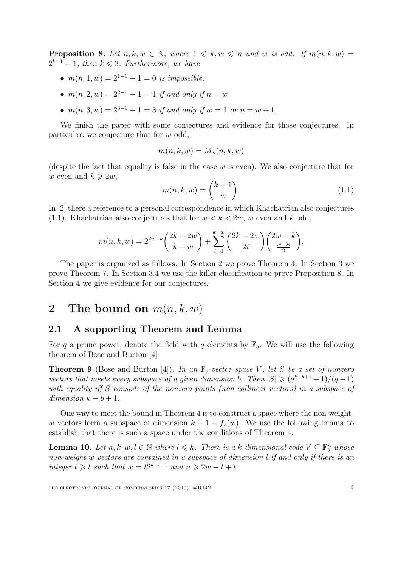**Proposition 8.** Let  $n, k, w \in \mathbb{N}$ , where  $1 \leq k, w \leq n$  and w is odd. If  $m(n, k, w) =$  $2^{k-1} - 1$ , then  $k \leq 3$ . Furthermore, we have

- $m(n, 1, w) = 2^{1-1} 1 = 0$  is impossible.
- $m(n, 2, w) = 2^{2-1} 1 = 1$  if and only if  $n = w$ .
- $m(n, 3, w) = 2^{3-1} 1 = 3$  if and only if  $w = 1$  or  $n = w + 1$ .

We finish the paper with some conjectures and evidence for those conjectures. In particular, we conjecture that for w odd,

$$
m(n,k,w) = M_{\mathbb{R}}(n,k,w)
$$

(despite the fact that equality is false in the case  $w$  is even). We also conjecture that for w even and  $k \geq 2w$ ,

$$
m(n,k,w) = \binom{k+1}{w}.\tag{1.1}
$$

In [2] there a reference to a personal correspondence in which Khachatrian also conjectures (1.1). Khachatrian also conjectures that for  $w < k < 2w$ , w even and k odd,

$$
m(n,k,w) = 2^{2w-k} {2k - 2w \choose k - w} + \sum_{i=0}^{k-w} {2k - 2w \choose 2i} {2w - k \choose \frac{w - 2i}{2}}.
$$

The paper is organized as follows. In Section 2 we prove Theorem 4. In Section 3 we prove Theorem 7. In Section 3.4 we use the killer classification to prove Proposition 8. In Section 4 we give evidence for our conjectures.

### 2 The bound on  $m(n, k, w)$

#### 2.1 A supporting Theorem and Lemma

For q a prime power, denote the field with q elements by  $\mathbb{F}_q$ . We will use the following theorem of Bose and Burton [4]

**Theorem 9** (Bose and Burton [4]). In an  $\mathbb{F}_q$ -vector space V, let S be a set of nonzero vectors that meets every subspace of a given dimension b. Then  $|S| \geq (q^{k-b+1}-1)/(q-1)$ with equality iff S consists of the nonzero points (non-collinear vectors) in a subspace of dimension  $k - b + 1$ .

One way to meet the bound in Theorem 4 is to construct a space where the non-weightw vectors form a subspace of dimension  $k - 1 - f_2(w)$ . We use the following lemma to establish that there is such a space under the conditions of Theorem 4.

**Lemma 10.** Let  $n, k, w, l \in \mathbb{N}$  where  $l \leq k$ . There is a k-dimensional code  $V \subseteq \mathbb{F}_2^n$  whose non-weight-w vectors are contained in a subspace of dimension l if and only if there is an integer  $t \geq l$  such that  $w = t2^{k-l-1}$  and  $n \geq 2w - t + l$ .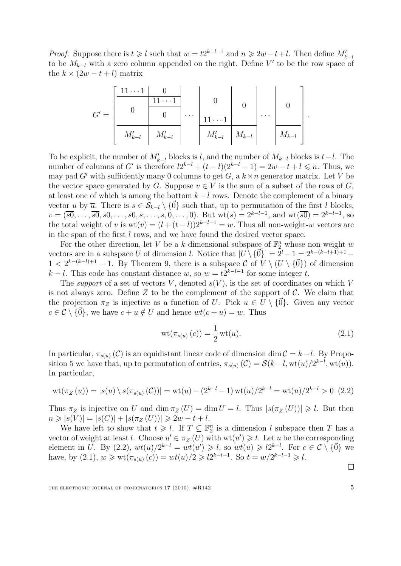*Proof.* Suppose there is  $t \geq l$  such that  $w = t2^{k-l-1}$  and  $n \geq 2w - t + l$ . Then define  $M'_{k-l}$ to be  $M_{k-l}$  with a zero column appended on the right. Define V' to be the row space of the  $k \times (2w - t + l)$  matrix

$$
G' = \begin{bmatrix} \begin{array}{|c|c|c|c|} \hline 11 \cdots 1 & 0 \\ \hline & 0 & 0 \\ \hline & & & \\ \hline & M'_{k-l} & M'_{k-l} \\ \hline \end{array} & \cdots & \begin{array}{|c|c|c|c|} \hline 0 & & & \\ \hline & 11 \cdots 1 & & \\ \hline & M'_{k-l} & M_{k-l} \\ \hline & M'_{k-l} & M_{k-l} \\ \hline \end{array} & \cdots & \begin{array}{|c|c|} \hline 0 & & & \\ \hline & 0 & & \\ \hline M_{k-l} & M_{k-l} \\ \hline \end{array}
$$

To be explicit, the number of  $M'_{k-l}$  blocks is l, and the number of  $M_{k-l}$  blocks is  $t-l$ . The number of columns of G' is therefore  $l2^{k-l} + (t-l)(2^{k-l}-1) = 2w - t + l \leq n$ . Thus, we may pad G' with sufficiently many 0 columns to get G, a  $k \times n$  generator matrix. Let V be the vector space generated by G. Suppose  $v \in V$  is the sum of a subset of the rows of G, at least one of which is among the bottom  $k - l$  rows. Denote the complement of a binary vector u by  $\overline{u}$ . There is  $s \in S_{k-l} \setminus \{\overline{0}\}\$  such that, up to permutation of the first l blocks,  $v = (\overline{s0}, \ldots, \overline{s0}, s0, \ldots, s0, s, \ldots, s, 0, \ldots, 0)$ . But wt $(s) = 2^{k-l-1}$ , and wt $(\overline{s0}) = 2^{k-l-1}$ , so the total weight of v is  $wt(v) = (l + (t - l))2^{k-l-1} = w$ . Thus all non-weight-w vectors are in the span of the first l rows, and we have found the desired vector space.

For the other direction, let V be a k-dimensional subspace of  $\mathbb{F}_2^n$  whose non-weight-w vectors are in a subspace U of dimension l. Notice that  $|U \setminus {\vec{0}}| = 2^l - 1 = 2^{k-(k-l+1)+1} 1 < 2^{k-(k-l)+1} - 1$ . By Theorem 9, there is a subspace C of  $V \setminus (U \setminus {\vec{0}})$  of dimension  $k-l$ . This code has constant distance w, so  $w = t2^{k-l-1}$  for some integer t.

The support of a set of vectors V, denoted  $s(V)$ , is the set of coordinates on which V is not always zero. Define Z to be the complement of the support of  $\mathcal{C}$ . We claim that the projection  $\pi_Z$  is injective as a function of U. Pick  $u \in U \setminus \{0\}$ . Given any vector  $c \in \mathcal{C} \setminus \{ \vec{0} \}$ , we have  $c + u \notin U$  and hence  $wt(c + u) = w$ . Thus

$$
\operatorname{wt}(\pi_{s(u)}(c)) = \frac{1}{2}\operatorname{wt}(u). \tag{2.1}
$$

.

In particular,  $\pi_{s(u)}(\mathcal{C})$  is an equidistant linear code of dimension dim  $\mathcal{C} = k-l$ . By Proposition 5 we have that, up to permutation of entries,  $\pi_{s(u)}(\mathcal{C}) = \mathcal{S}(k-l, \text{wt}(u)/2^{k-l}, \text{wt}(u)).$ In particular,

$$
\text{wt}(\pi_Z(u)) = |s(u) \setminus s(\pi_{s(u)}(C))| = \text{wt}(u) - (2^{k-l} - 1)\text{wt}(u)/2^{k-l} = \text{wt}(u)/2^{k-l} > 0 \tag{2.2}
$$

Thus  $\pi_Z$  is injective on U and  $\dim \pi_Z(U) = \dim U = l$ . Thus  $|s(\pi_Z(U))| \geq l$ . But then  $n \geq |s(V)| = |s(C)| + |s(\pi_Z(U))| \geq 2w - t + l.$ 

We have left to show that  $t \geq l$ . If  $T \subseteq \mathbb{F}_2^n$  is a dimension l subspace then T has a vector of weight at least l. Choose  $u' \in \pi_Z(U)$  with  $wt(u') \geq l$ . Let u be the corresponding element in U. By (2.2),  $wt(u)/2^{k-l} = wt(u') \geq 1$ , so  $wt(u) \geq 2^{k-l}$ . For  $c \in \mathcal{C} \setminus \{ \vec{0} \}$  we have, by (2.1),  $w \geqslant \text{wt}(\pi_{s(u)}(c)) = \text{wt}(u)/2 \geqslant 2^{k-l-1}$ . So  $t = w/2^{k-l-1} \geqslant l$ .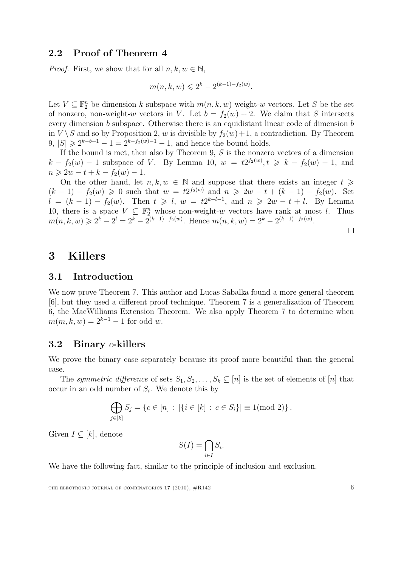#### 2.2 Proof of Theorem 4

*Proof.* First, we show that for all  $n, k, w \in \mathbb{N}$ ,

$$
m(n, k, w) \leq 2^{k} - 2^{(k-1)-f_2(w)}.
$$

Let  $V \subseteq \mathbb{F}_2^n$  be dimension k subspace with  $m(n, k, w)$  weight-w vectors. Let S be the set of nonzero, non-weight-w vectors in V. Let  $b = f_2(w) + 2$ . We claim that S intersects every dimension b subspace. Otherwise there is an equidistant linear code of dimension b in  $V \setminus S$  and so by Proposition 2, w is divisible by  $f_2(w)+1$ , a contradiction. By Theorem 9,  $|S|$  ≥  $2^{k-b+1} - 1 = 2^{k-f_2(w)-1} - 1$ , and hence the bound holds.

If the bound is met, then also by Theorem 9, S is the nonzero vectors of a dimension  $k - f_2(w) - 1$  subspace of V. By Lemma 10,  $w = t2^{f_2(w)}$ ,  $t \ge k - f_2(w) - 1$ , and  $n \geq 2w - t + k - f_2(w) - 1.$ 

On the other hand, let  $n, k, w \in \mathbb{N}$  and suppose that there exists an integer  $t \geq$  $(k-1) - f_2(w) \geq 0$  such that  $w = t2^{f_2(w)}$  and  $n \geq 2w - t + (k-1) - f_2(w)$ . Set  $l = (k-1) - f_2(w)$ . Then  $t \geq l$ ,  $w = t2^{k-l-1}$ , and  $n \geq 2w - t + l$ . By Lemma 10, there is a space  $V \subseteq \mathbb{F}_2^n$  whose non-weight-w vectors have rank at most l. Thus  $m(n, k, w) \geq 2^{k} - 2^{l} = 2^{k} - 2^{(k-1)-f_2(w)}$ . Hence  $m(n, k, w) = 2^{k} - 2^{(k-1)-f_2(w)}$ .

 $\Box$ 

### 3 Killers

#### 3.1 Introduction

We now prove Theorem 7. This author and Lucas Sabalka found a more general theorem [6], but they used a different proof technique. Theorem 7 is a generalization of Theorem 6, the MacWilliams Extension Theorem. We also apply Theorem 7 to determine when  $m(m, k, w) = 2^{k-1} - 1$  for odd w.

#### 3.2 Binary c-killers

We prove the binary case separately because its proof more beautiful than the general case.

The symmetric difference of sets  $S_1, S_2, \ldots, S_k \subseteq [n]$  is the set of elements of  $[n]$  that occur in an odd number of  $S_i$ . We denote this by

$$
\bigoplus_{j\in[k]} S_j = \{c \in [n] : |\{i \in [k] : c \in S_i\}| \equiv 1 \pmod{2}\}.
$$

Given  $I \subseteq [k]$ , denote

$$
S(I) = \bigcap_{i \in I} S_i.
$$

We have the following fact, similar to the principle of inclusion and exclusion.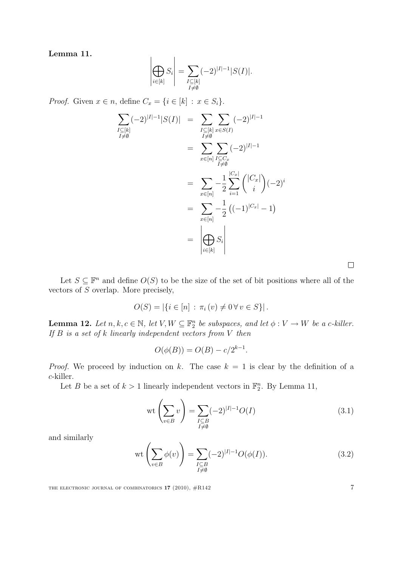Lemma 11.

$$
\left|\bigoplus_{i\in[k]}S_i\right| = \sum_{\substack{I\subseteq[k]\\I\neq\emptyset}}(-2)^{|I|-1}|S(I)|.
$$

*Proof.* Given  $x \in n$ , define  $C_x = \{i \in [k] : x \in S_i\}.$ 

$$
\sum_{\substack{I \subseteq [k] \\ I \neq \emptyset}} (-2)^{|I|-1} |S(I)| = \sum_{\substack{I \subseteq [k] \\ I \neq \emptyset}} \sum_{x \in S(I)} (-2)^{|I|-1}
$$
\n
$$
= \sum_{x \in [n]} \sum_{\substack{I \subseteq C_x \\ I \neq \emptyset}} (-2)^{|I|-1}
$$
\n
$$
= \sum_{x \in [n]} -\frac{1}{2} \sum_{i=1}^{|C_x|} { |C_x| \choose i} (-2)^i
$$
\n
$$
= \sum_{x \in [n]} -\frac{1}{2} ((-1)^{|C_x|} - 1)
$$
\n
$$
= \left| \bigoplus_{i \in [k]} S_i \right|
$$

Let  $S \subseteq \mathbb{F}^n$  and define  $O(S)$  to be the size of the set of bit positions where all of the vectors of S overlap. More precisely,

$$
O(S) = |\{i \in [n] : \pi_i(v) \neq 0 \,\forall v \in S\}|.
$$

**Lemma 12.** Let  $n, k, c \in \mathbb{N}$ , let  $V, W \subseteq \mathbb{F}_2^n$  be subspaces, and let  $\phi: V \to W$  be a c-killer. If  $B$  is a set of  $k$  linearly independent vectors from  $V$  then

$$
O(\phi(B)) = O(B) - c/2^{k-1}.
$$

*Proof.* We proceed by induction on k. The case  $k = 1$  is clear by the definition of a c-killer.

Let B be a set of  $k > 1$  linearly independent vectors in  $\mathbb{F}_2^n$ . By Lemma 11,

$$
\operatorname{wt}\left(\sum_{v\in B} v\right) = \sum_{\substack{I\subseteq B\\I\neq\emptyset}} (-2)^{|I|-1} O(I) \tag{3.1}
$$

and similarly

$$
\operatorname{wt}\left(\sum_{v\in B} \phi(v)\right) = \sum_{\substack{I\subseteq B\\I\neq\emptyset}} (-2)^{|I|-1} O(\phi(I)).\tag{3.2}
$$

THE ELECTRONIC JOURNAL OF COMBINATORICS  $17$  (2010),  $\#R142$  7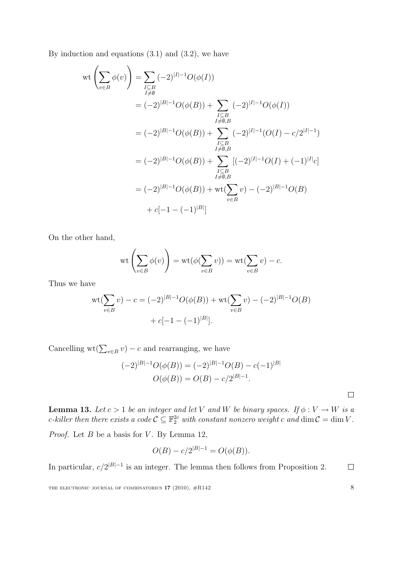By induction and equations  $(3.1)$  and  $(3.2)$ , we have

$$
\operatorname{wt}\left(\sum_{v\in B}\phi(v)\right) = \sum_{\substack{I\subseteq B\\I\neq\emptyset}}(-2)^{|I|-1}O(\phi(I))
$$
\n
$$
= (-2)^{|B|-1}O(\phi(B)) + \sum_{\substack{I\subseteq B\\I\neq\emptyset,B\\I\neq\emptyset,B}}(-2)^{|I|-1}O(\phi(I))
$$
\n
$$
= (-2)^{|B|-1}O(\phi(B)) + \sum_{\substack{I\subseteq B\\I\neq\emptyset,B\\I\neq\emptyset,B}}(-2)^{|I|-1}(O(I)-c/2^{|I|-1})
$$
\n
$$
= (-2)^{|B|-1}O(\phi(B)) + \sum_{\substack{I\subseteq B\\I\neq\emptyset,B\\I\neq\emptyset,B}}[(-2)^{|I|-1}O(I)+(-1)^{|I|}c]
$$
\n
$$
= (-2)^{|B|-1}O(\phi(B)) + \operatorname{wt}(\sum_{v\in B}v) - (-2)^{|B|-1}O(B)
$$
\n
$$
+ c[-1 - (-1)^{|B|}]
$$

On the other hand,

$$
\operatorname{wt}\left(\sum_{v\in B} \phi(v)\right) = \operatorname{wt}(\phi(\sum_{v\in B} v)) = \operatorname{wt}(\sum_{v\in B} v) - c.
$$

Thus we have

wt(
$$
\sum_{v \in B} v
$$
) - c =  $(-2)^{|B|-1}O(\phi(B))$  + wt( $\sum_{v \in B} v$ ) -  $(-2)^{|B|-1}O(B)$   
+ c[-1 - (-1)^{|B|}].

Cancelling wt( $\sum_{v \in B} v$ ) – c and rearranging, we have

$$
(-2)^{|B|-1}O(\phi(B)) = (-2)^{|B|-1}O(B) - c(-1)^{|B|}
$$

$$
O(\phi(B)) = O(B) - c/2^{|B|-1}.
$$

**Lemma 13.** Let  $c > 1$  be an integer and let V and W be binary spaces. If  $\phi : V \to W$  is a c-killer then there exists a code  $C \subseteq \mathbb{F}_2^{2c}$  with constant nonzero weight c and  $\dim C = \dim V$ .

*Proof.* Let  $B$  be a basis for  $V$ . By Lemma 12,

$$
O(B) - c/2^{|B|-1} = O(\phi(B)).
$$

In particular,  $c/2^{|B|-1}$  is an integer. The lemma then follows from Proposition 2.  $\Box$ 

THE ELECTRONIC JOURNAL OF COMBINATORICS  $17$  (2010),  $\#R142$  8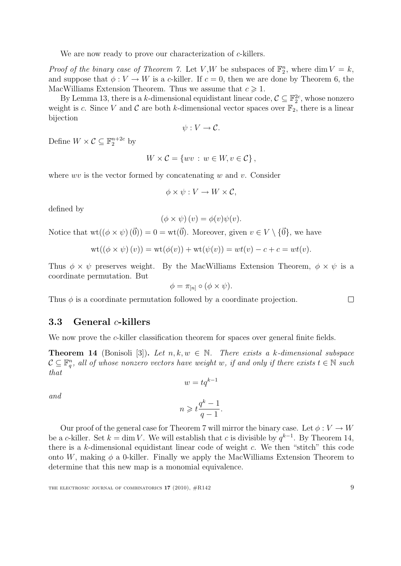We are now ready to prove our characterization of c-killers.

*Proof of the binary case of Theorem 7.* Let V,W be subspaces of  $\mathbb{F}_2^n$ , where dim  $V = k$ , and suppose that  $\phi: V \to W$  is a c-killer. If  $c = 0$ , then we are done by Theorem 6, the MacWilliams Extension Theorem. Thus we assume that  $c \geq 1$ .

By Lemma 13, there is a k-dimensional equidistant linear code,  $C \subseteq \mathbb{F}_2^{2c}$ , whose nonzero weight is c. Since V and C are both k-dimensional vector spaces over  $\mathbb{F}_2$ , there is a linear bijection

$$
\psi: V \to \mathcal{C}.
$$

Define  $W \times \mathcal{C} \subseteq \mathbb{F}_2^{n+2c}$  by

$$
W \times \mathcal{C} = \{ wv : w \in W, v \in \mathcal{C} \},
$$

where  $wv$  is the vector formed by concatenating w and v. Consider

$$
\phi \times \psi : V \to W \times \mathcal{C},
$$

defined by

$$
(\phi \times \psi)(v) = \phi(v)\psi(v).
$$

Notice that  $wt((\phi \times \psi)(\vec{0})) = 0 = wt(\vec{0})$ . Moreover, given  $v \in V \setminus {\vec{0}}$ , we have

$$
\text{wt}((\phi \times \psi)(v)) = \text{wt}(\phi(v)) + \text{wt}(\psi(v)) = wt(v) - c + c = wt(v).
$$

Thus  $\phi \times \psi$  preserves weight. By the MacWilliams Extension Theorem,  $\phi \times \psi$  is a coordinate permutation. But

$$
\phi = \pi_{[n]} \circ (\phi \times \psi).
$$

Thus  $\phi$  is a coordinate permutation followed by a coordinate projection.

#### 3.3 General c-killers

We now prove the c-killer classification theorem for spaces over general finite fields.

**Theorem 14** (Bonisoli [3]). Let  $n, k, w \in \mathbb{N}$ . There exists a k-dimensional subspace  $\mathcal{C} \subseteq \mathbb{F}_q^n$ , all of whose nonzero vectors have weight w, if and only if there exists  $t \in \mathbb{N}$  such that

$$
w=tq^{k-1}
$$

and

$$
n \geqslant t \frac{q^k - 1}{q - 1}.
$$

Our proof of the general case for Theorem 7 will mirror the binary case. Let  $\phi: V \to W$ be a c-killer. Set  $k = \dim V$ . We will establish that c is divisible by  $q^{k-1}$ . By Theorem 14, there is a k-dimensional equidistant linear code of weight c. We then "stitch" this code onto W, making  $\phi$  a 0-killer. Finally we apply the MacWilliams Extension Theorem to determine that this new map is a monomial equivalence.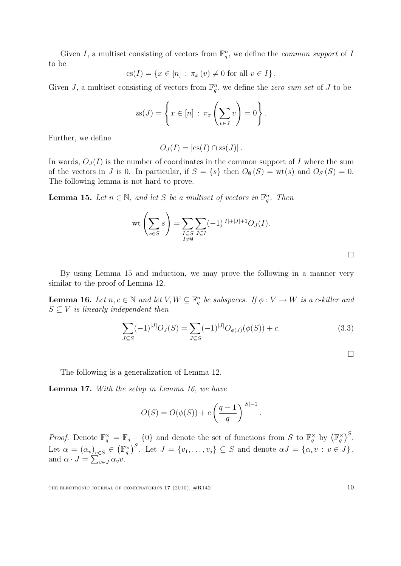Given I, a multiset consisting of vectors from  $\mathbb{F}_q^n$ , we define the *common support* of I to be

$$
cs(I) = \{ x \in [n] : \pi_x(v) \neq 0 \text{ for all } v \in I \}.
$$

Given J, a multiset consisting of vectors from  $\mathbb{F}_q^n$ , we define the zero sum set of J to be

$$
zs(J) = \left\{ x \in [n] : \pi_x \left( \sum_{v \in J} v \right) = 0 \right\}.
$$

Further, we define

$$
O_J(I) = |\mathrm{cs}(I) \cap \mathrm{zs}(J)|.
$$

In words,  $O<sub>J</sub>(I)$  is the number of coordinates in the common support of I where the sum of the vectors in J is 0. In particular, if  $S = \{s\}$  then  $O_{\emptyset}(S) = \text{wt}(s)$  and  $O_{S}(S) = 0$ . The following lemma is not hard to prove.

**Lemma 15.** Let  $n \in \mathbb{N}$ , and let S be a multiset of vectors in  $\mathbb{F}_q^n$ . Then

$$
\text{wt}\left(\sum_{s\in S} s\right) = \sum_{\substack{I\subseteq S\\I\neq\emptyset}} \sum_{J\subseteq I} (-1)^{|I|+|J|+1} O_J(I).
$$

 $\Box$ 

By using Lemma 15 and induction, we may prove the following in a manner very similar to the proof of Lemma 12.

**Lemma 16.** Let  $n, c \in \mathbb{N}$  and let  $V, W \subseteq \mathbb{F}_q^n$  be subspaces. If  $\phi: V \to W$  is a c-killer and  $S \subseteq V$  is linearly independent then

$$
\sum_{J \subseteq S} (-1)^{|J|} O_J(S) = \sum_{J \subseteq S} (-1)^{|J|} O_{\phi(J)}(\phi(S)) + c.
$$
 (3.3)

 $\Box$ 

The following is a generalization of Lemma 12.

Lemma 17. With the setup in Lemma 16, we have

$$
O(S) = O(\phi(S)) + c\left(\frac{q-1}{q}\right)^{|S|-1}.
$$

*Proof.* Denote  $\mathbb{F}_q^{\times} = \mathbb{F}_q - \{0\}$  and denote the set of functions from S to  $\mathbb{F}_q^{\times}$  by  $(\mathbb{F}_q^{\times})^S$ . Let  $\alpha = (\alpha_v)_{v \in S} \in (\mathbb{F}_q^{\times})^S$ . Let  $J = \{v_1, \ldots, v_j\} \subseteq S$  and denote  $\alpha J = \{\alpha_v v : v \in J\}$ , and  $\alpha \cdot J = \sum_{v \in J} \alpha_v v$ .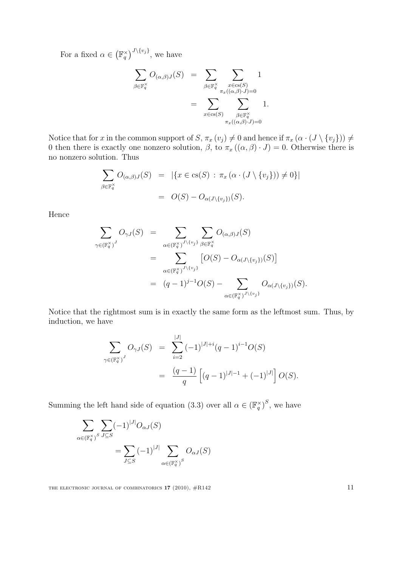For a fixed  $\alpha \in (\mathbb{F}_q^{\times})^{J \setminus \{v_j\}}$ , we have

$$
\sum_{\beta \in \mathbb{F}_q^{\times}} O_{(\alpha,\beta)J}(S) = \sum_{\beta \in \mathbb{F}_q^{\times}} \sum_{\substack{x \in \text{cs}(S) \\ \pi_x((\alpha,\beta)\cdot J) = 0}} 1
$$

$$
= \sum_{x \in \text{cs}(S)} \sum_{\substack{\beta \in \mathbb{F}_q^{\times} \\ \pi_x((\alpha,\beta)\cdot J) = 0}} 1.
$$

Notice that for x in the common support of S,  $\pi_x(v_j) \neq 0$  and hence if  $\pi_x(\alpha \cdot (J \setminus \{v_j\})) \neq 0$ 0 then there is exactly one nonzero solution,  $\beta$ , to  $\pi_x((\alpha, \beta) \cdot J) = 0$ . Otherwise there is no nonzero solution. Thus

$$
\sum_{\beta \in \mathbb{F}_q^{\times}} O_{(\alpha,\beta)J}(S) = |\{x \in \text{cs}(S) : \pi_x(\alpha \cdot (J \setminus \{v_j\})) \neq 0\}|
$$
  
= 
$$
O(S) - O_{\alpha(J \setminus \{v_j\})}(S).
$$

Hence

$$
\sum_{\gamma \in (\mathbb{F}_q^{\times})^J} O_{\gamma J}(S) = \sum_{\alpha \in (\mathbb{F}_q^{\times})^{J \setminus \{v_j\}}} \sum_{\beta \in \mathbb{F}_q^{\times}} O_{(\alpha,\beta)J}(S)
$$
  
\n
$$
= \sum_{\alpha \in (\mathbb{F}_q^{\times})^{J \setminus \{v_j\}}} [O(S) - O_{\alpha(J \setminus \{v_j\})}(S)]
$$
  
\n
$$
= (q-1)^{j-1}O(S) - \sum_{\alpha \in (\mathbb{F}_q^{\times})^{J \setminus \{v_j\}}} O_{\alpha(J \setminus \{v_j\})}(S).
$$

Notice that the rightmost sum is in exactly the same form as the leftmost sum. Thus, by induction, we have

$$
\sum_{\gamma \in (\mathbb{F}_q^{\times})^J} O_{\gamma J}(S) = \sum_{i=2}^{|J|} (-1)^{|J|+i} (q-1)^{i-1} O(S)
$$
  
= 
$$
\frac{(q-1)}{q} \left[ (q-1)^{|J|-1} + (-1)^{|J|} \right] O(S).
$$

Summing the left hand side of equation (3.3) over all  $\alpha \in (\mathbb{F}_q^{\times})^S$ , we have

$$
\sum_{\alpha \in (\mathbb{F}_q^{\times})^S} \sum_{J \subseteq S} (-1)^{|J|} O_{\alpha J}(S)
$$
  
= 
$$
\sum_{J \subseteq S} (-1)^{|J|} \sum_{\alpha \in (\mathbb{F}_q^{\times})^S} O_{\alpha J}(S)
$$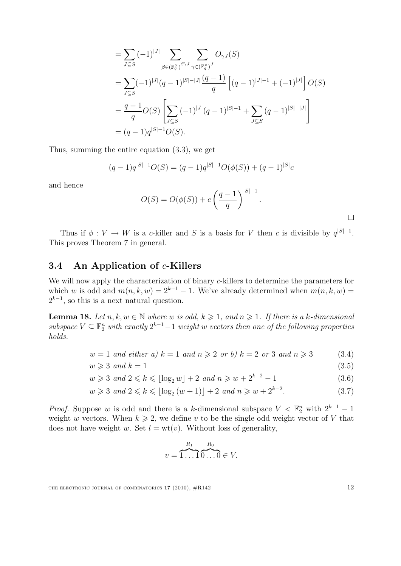$$
= \sum_{J \subseteq S} (-1)^{|J|} \sum_{\beta \in (\mathbb{F}_q^{\times})^{S \setminus J}} \sum_{\gamma \in (\mathbb{F}_q^{\times})^J} O_{\gamma J}(S)
$$
  
\n
$$
= \sum_{J \subseteq S} (-1)^{|J|} (q-1)^{|S|-|J|} \frac{(q-1)}{q} \left[ (q-1)^{|J|-1} + (-1)^{|J|} \right] O(S)
$$
  
\n
$$
= \frac{q-1}{q} O(S) \left[ \sum_{J \subseteq S} (-1)^{|J|} (q-1)^{|S|-1} + \sum_{J \subseteq S} (q-1)^{|S|-|J|} \right]
$$
  
\n
$$
= (q-1)q^{|S|-1} O(S).
$$

Thus, summing the entire equation (3.3), we get

$$
(q-1)q^{|S|-1}O(S) = (q-1)q^{|S|-1}O(\phi(S)) + (q-1)^{|S|}c
$$

and hence

$$
O(S) = O(\phi(S)) + c\left(\frac{q-1}{q}\right)^{|S|-1}.
$$

Thus if  $\phi: V \to W$  is a c-killer and S is a basis for V then c is divisible by  $q^{|S|-1}$ . This proves Theorem 7 in general.

### 3.4 An Application of  $c$ -Killers

We will now apply the characterization of binary c-killers to determine the parameters for which w is odd and  $m(n, k, w) = 2^{k-1} - 1$ . We've already determined when  $m(n, k, w) =$  $2^{k-1}$ , so this is a next natural question.

**Lemma 18.** Let  $n, k, w \in \mathbb{N}$  where w is odd,  $k \geq 1$ , and  $n \geq 1$ . If there is a k-dimensional subspace  $V \subseteq \mathbb{F}_2^n$  with exactly  $2^{k-1}-1$  weight w vectors then one of the following properties holds.

$$
w = 1 \text{ and either } a) k = 1 \text{ and } n \geqslant 2 \text{ or } b) k = 2 \text{ or } 3 \text{ and } n \geqslant 3 \tag{3.4}
$$

$$
w \geqslant 3 \text{ and } k = 1 \tag{3.5}
$$

$$
w \ge 3 \text{ and } 2 \le k \le \lfloor \log_2 w \rfloor + 2 \text{ and } n \ge w + 2^{k-2} - 1 \tag{3.6}
$$

$$
w \geq 3 \text{ and } 2 \leq k \leq \lfloor \log_2{(w+1)} \rfloor + 2 \text{ and } n \geq w + 2^{k-2}.
$$
 (3.7)

*Proof.* Suppose w is odd and there is a k-dimensional subspace  $V < \mathbb{F}_2^n$  with  $2^{k-1} - 1$ weight w vectors. When  $k \geq 2$ , we define v to be the single odd weight vector of V that does not have weight w. Set  $l = wt(v)$ . Without loss of generality,

$$
v = \overbrace{1 \dots 1}^{R_1} \overbrace{0 \dots 0}^{R_0} \in V.
$$

THE ELECTRONIC JOURNAL OF COMBINATORICS  $17$  (2010),  $\#R142$  12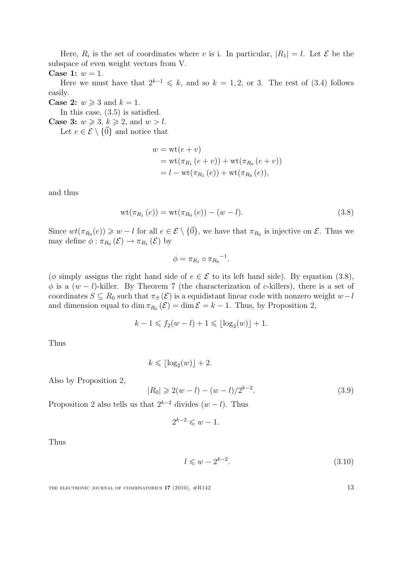Here,  $R_i$  is the set of coordinates where v is i. In particular,  $|R_1| = l$ . Let  $\mathcal{E}$  be the subspace of even weight vectors from V.

Case 1: 
$$
w = 1
$$
.

Here we must have that  $2^{k-1} \leq k$ , and so  $k = 1, 2$ , or 3. The rest of (3.4) follows easily.

**Case 2:**  $w \ge 3$  and  $k = 1$ .

In this case, (3.5) is satisfied.

**Case 3:**  $w \ge 3$ ,  $k \ge 2$ , and  $w > l$ .

Let  $e \in \mathcal{E} \setminus \{ \vec{0} \}$  and notice that

$$
w = \text{wt}(e + v)
$$
  
=  $\text{wt}(\pi_{R_1}(e + v)) + \text{wt}(\pi_{R_0}(e + v))$   
=  $l - \text{wt}(\pi_{R_1}(e)) + \text{wt}(\pi_{R_0}(e)),$ 

and thus

$$
wt(\pi_{R_1}(e)) = wt(\pi_{R_0}(e)) - (w - l).
$$
\n(3.8)

Since  $wt(\pi_{R_0}(e)) \geq w - l$  for all  $e \in \mathcal{E} \setminus \{\vec{0}\}\)$ , we have that  $\pi_{R_0}$  is injective on  $\mathcal{E}$ . Thus we may define  $\phi : \pi_{R_0}(\mathcal{E}) \to \pi_{R_1}(\mathcal{E})$  by

$$
\phi = \pi_{R_1} \circ \pi_{R_0}^{-1}.
$$

( $\phi$  simply assigns the right hand side of  $e \in \mathcal{E}$  to its left hand side). By equation (3.8),  $\phi$  is a  $(w - l)$ -killer. By Theorem 7 (the characterization of c-killers), there is a set of coordinates  $S \subseteq R_0$  such that  $\pi_S(\mathcal{E})$  is a equidistant linear code with nonzero weight  $w-l$ and dimension equal to dim  $\pi_{R_0}(\mathcal{E}) = \dim \mathcal{E} = k - 1$ . Thus, by Proposition 2,

$$
k - 1 \leqslant f_2(w - l) + 1 \leqslant \lfloor \log_2(w) \rfloor + 1.
$$

Thus

$$
k \leqslant \lfloor \log_2(w) \rfloor + 2.
$$

Also by Proposition 2,

$$
|R_0| \geqslant 2(w-l) - (w-l)/2^{k-2}.
$$
\n(3.9)

Proposition 2 also tells us that  $2^{k-2}$  divides  $(w - l)$ . Thus

$$
2^{k-2} \leqslant w - 1.
$$

Thus

$$
l \leqslant w - 2^{k-2}.\tag{3.10}
$$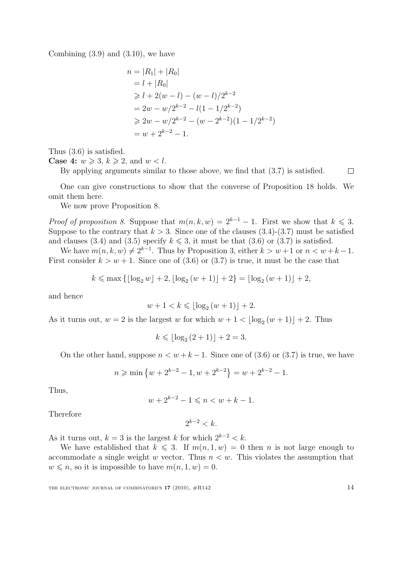Combining  $(3.9)$  and  $(3.10)$ , we have

$$
n = |R_1| + |R_0|
$$
  
=  $l + |R_0|$   
 $\geq l + 2(w - l) - (w - l)/2^{k-2}$   
=  $2w - w/2^{k-2} - l(1 - 1/2^{k-2})$   
 $\geq 2w - w/2^{k-2} - (w - 2^{k-2})(1 - 1/2^{k-2})$   
=  $w + 2^{k-2} - 1$ .

Thus (3.6) is satisfied.

**Case 4:**  $w \ge 3$ ,  $k \ge 2$ , and  $w < l$ .

By applying arguments similar to those above, we find that (3.7) is satisfied.

One can give constructions to show that the converse of Proposition 18 holds. We omit them here.

We now prove Proposition 8.

*Proof of proposition 8.* Suppose that  $m(n, k, w) = 2^{k-1} - 1$ . First we show that  $k \leq 3$ . Suppose to the contrary that  $k > 3$ . Since one of the clauses  $(3.4)-(3.7)$  must be satisfied and clauses (3.4) and (3.5) specify  $k \leq 3$ , it must be that (3.6) or (3.7) is satisfied.

We have  $m(n, k, w) \neq 2^{k-1}$ . Thus by Proposition 3, either  $k > w+1$  or  $n < w+k-1$ . First consider  $k > w + 1$ . Since one of (3.6) or (3.7) is true, it must be the case that

$$
k \le \max\left\{ \lfloor \log_2 w \rfloor + 2, \lfloor \log_2 (w+1) \rfloor + 2 \right\} = \lfloor \log_2 (w+1) \rfloor + 2,
$$

and hence

$$
w + 1 < k \leq \lfloor \log_2(w + 1) \rfloor + 2.
$$

As it turns out,  $w = 2$  is the largest w for which  $w + 1 < \lfloor \log_2(w + 1) \rfloor + 2$ . Thus

$$
k \leq \lfloor \log_2 (2+1) \rfloor + 2 = 3.
$$

On the other hand, suppose  $n < w + k - 1$ . Since one of (3.6) or (3.7) is true, we have

$$
n \geqslant \min\left\{w + 2^{k-2} - 1, w + 2^{k-2}\right\} = w + 2^{k-2} - 1.
$$

Thus,

$$
w + 2^{k-2} - 1 \leqslant n < w + k - 1.
$$

Therefore

 $2^{k-2} < k$ .

As it turns out,  $k = 3$  is the largest k for which  $2^{k-2} < k$ .

We have established that  $k \leq 3$ . If  $m(n, 1, w) = 0$  then n is not large enough to accommodate a single weight w vector. Thus  $n \leq w$ . This violates the assumption that  $w \leq n$ , so it is impossible to have  $m(n, 1, w) = 0$ .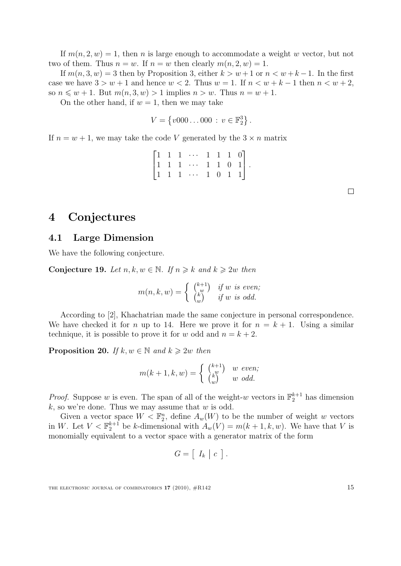If  $m(n, 2, w) = 1$ , then n is large enough to accommodate a weight w vector, but not two of them. Thus  $n = w$ . If  $n = w$  then clearly  $m(n, 2, w) = 1$ .

If  $m(n, 3, w) = 3$  then by Proposition 3, either  $k > w+1$  or  $n < w+k-1$ . In the first case we have  $3 > w + 1$  and hence  $w < 2$ . Thus  $w = 1$ . If  $n < w + k - 1$  then  $n < w + 2$ , so  $n \leq w + 1$ . But  $m(n, 3, w) > 1$  implies  $n > w$ . Thus  $n = w + 1$ .

On the other hand, if  $w = 1$ , then we may take

$$
V = \{v000 \dots 000 : v \in \mathbb{F}_2^3\}.
$$

If  $n = w + 1$ , we may take the code V generated by the  $3 \times n$  matrix

|  |  | $\begin{bmatrix} 1 & 1 & 1 & \cdots & 1 & 1 & 1 & 0 \end{bmatrix}$                                         |  |  |  |
|--|--|------------------------------------------------------------------------------------------------------------|--|--|--|
|  |  |                                                                                                            |  |  |  |
|  |  | $\begin{bmatrix} 1 & 1 & 1 & \cdots & 1 & 1 & 0 & 1 \\ 1 & 1 & 1 & \cdots & 1 & 0 & 1 & 1 \end{bmatrix}$ . |  |  |  |

 $\Box$ 

### 4 Conjectures

#### 4.1 Large Dimension

We have the following conjecture.

Conjecture 19. Let  $n, k, w \in \mathbb{N}$ . If  $n \geq k$  and  $k \geq 2w$  then

$$
m(n,k,w) = \begin{cases} \begin{pmatrix} k+1 \\ w \\ w \end{pmatrix} & \text{if } w \text{ is even;}\\ \begin{cases} k \\ w \end{cases} & \text{if } w \text{ is odd.} \end{cases}
$$

According to [2], Khachatrian made the same conjecture in personal correspondence. We have checked it for n up to 14. Here we prove it for  $n = k + 1$ . Using a similar technique, it is possible to prove it for w odd and  $n = k + 2$ .

**Proposition 20.** If  $k, w \in \mathbb{N}$  and  $k \geq 2w$  then

$$
m(k+1, k, w) = \begin{cases} {k+1 \choose w} & w \ even; \\ {k \choose w} & w \ odd. \end{cases}
$$

*Proof.* Suppose w is even. The span of all of the weight-w vectors in  $\mathbb{F}_2^{k+1}$  has dimension  $k$ , so we're done. Thus we may assume that  $w$  is odd.

Given a vector space  $W < \mathbb{F}_2^n$ , define  $A_w(W)$  to be the number of weight w vectors in W. Let  $V < \mathbb{F}_2^{k+1}$  be k-dimensional with  $A_w(V) = m(k+1, k, w)$ . We have that V is monomially equivalent to a vector space with a generator matrix of the form

$$
G = [I_k | c].
$$

THE ELECTRONIC JOURNAL OF COMBINATORICS  $17$  (2010),  $\#R142$  15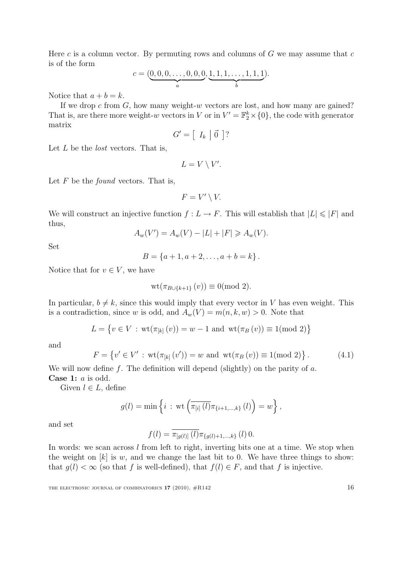Here c is a column vector. By permuting rows and columns of  $G$  we may assume that  $c$ is of the form

$$
c = (\underbrace{0,0,0,\ldots,0,0,0}_{a}, \underbrace{1,1,1,\ldots,1,1,1}_{b}).
$$

Notice that  $a + b = k$ .

If we drop c from  $G$ , how many weight-w vectors are lost, and how many are gained? That is, are there more weight-w vectors in V or in  $V' = \mathbb{F}_2^k \times \{0\}$ , the code with generator matrix

$$
G' = \left[ \begin{array}{c|c} I_k & \vec{0} \end{array} \right]
$$
?

Let  $L$  be the *lost* vectors. That is,

$$
L = V \setminus V'.
$$

Let  $F$  be the *found* vectors. That is,

$$
F = V' \setminus V.
$$

We will construct an injective function  $f: L \to F$ . This will establish that  $|L| \leqslant |F|$  and thus,

$$
A_w(V') = A_w(V) - |L| + |F| \ge A_w(V).
$$

Set

$$
B = \{a+1, a+2, \ldots, a+b=k\}.
$$

Notice that for  $v \in V$ , we have

$$
wt(\pi_{B\cup\{k+1\}}(v))\equiv 0(\text{mod } 2).
$$

In particular,  $b \neq k$ , since this would imply that every vector in V has even weight. This is a contradiction, since w is odd, and  $A_w(V) = m(n, k, w) > 0$ . Note that

$$
L = \{ v \in V : \text{wt}(\pi_{[k]}(v)) = w - 1 \text{ and } \text{wt}(\pi_B(v)) \equiv 1 \text{ (mod 2)} \}
$$

and

$$
F = \{ v' \in V' : \text{wt}(\pi_{[k]}(v')) = w \text{ and } \text{wt}(\pi_B(v)) \equiv 1 \text{(mod 2)} \}.
$$
 (4.1)

We will now define f. The definition will depend (slightly) on the parity of  $a$ . Case 1: a is odd.

Given  $l \in L$ , define

$$
g(l) = \min \left\{ i : \text{wt}\left(\overline{\pi_{[i]}(l)}\pi_{\{i+1,\dots,k\}}(l)\right) = w \right\},\
$$

and set

$$
f(l) = \overline{\pi_{[g(l)]}(l)} \pi_{\{g(l)+1,\dots,k\}}(l) 0.
$$

In words: we scan across l from left to right, inverting bits one at a time. We stop when the weight on  $[k]$  is w, and we change the last bit to 0. We have three things to show: that  $g(l) < \infty$  (so that f is well-defined), that  $f(l) \in F$ , and that f is injective.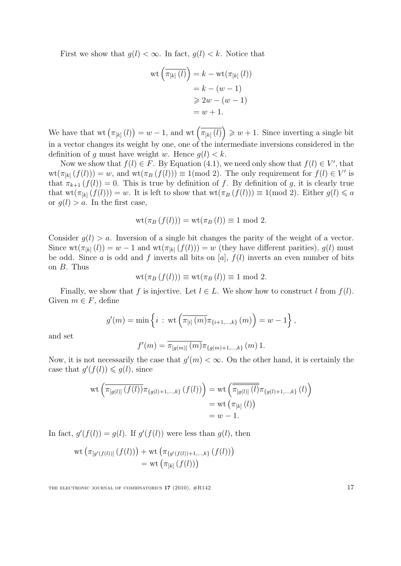First we show that  $g(l) < \infty$ . In fact,  $g(l) < k$ . Notice that

$$
\operatorname{wt}\left(\overline{\pi_{[k]}\left(l\right)}\right) = k - \operatorname{wt}(\pi_{[k]}\left(l\right))
$$
\n
$$
= k - (w - 1)
$$
\n
$$
\geq 2w - (w - 1)
$$
\n
$$
= w + 1.
$$

We have that wt  $(\pi_{[k]}(l)) = w - 1$ , and wt  $(\overline{\pi_{[k]}(l)}) \geq w + 1$ . Since inverting a single bit in a vector changes its weight by one, one of the intermediate inversions considered in the definition of g must have weight w. Hence  $g(l) < k$ .

Now we show that  $f(l) \in F$ . By Equation (4.1), we need only show that  $f(l) \in V'$ , that  $wt(\pi_{[k]}(f(l))) = w$ , and  $wt(\pi_B(f(l))) \equiv 1 \pmod{2}$ . The only requirement for  $f(l) \in V'$  is that  $\pi_{k+1}(f(l)) = 0$ . This is true by definition of f. By definition of g, it is clearly true that  $wt(\pi_{[k]}(f(l))) = w$ . It is left to show that  $wt(\pi_B(f(l))) \equiv 1 \pmod{2}$ . Either  $g(l) \leq a$ or  $q(l) > a$ . In the first case,

$$
wt(\pi_B(f(l))) = wt(\pi_B(l)) \equiv 1 \text{ mod } 2.
$$

Consider  $g(l) > a$ . Inversion of a single bit changes the parity of the weight of a vector. Since  $wt(\pi_{[k]}(l)) = w - 1$  and  $wt(\pi_{[k]}(f(l))) = w$  (they have different parities),  $q(l)$  must be odd. Since a is odd and f inverts all bits on [a],  $f(l)$  inverts an even number of bits on B. Thus

$$
wt(\pi_B(f(l))) \equiv wt(\pi_B(l)) \equiv 1 \mod 2.
$$

Finally, we show that f is injective. Let  $l \in L$ . We show how to construct l from  $f(l)$ . Given  $m \in F$ , define

$$
g'(m) = \min \left\{ i : \text{wt}\left(\overline{\pi_{[i]}(m)}\pi_{\{i+1,\dots,k\}}(m)\right) = w - 1 \right\},\
$$

and set

$$
f'(m) = \overline{\pi_{[g(m)]}(m)} \pi_{\{g(m)+1,\dots,k\}}(m) \, 1.
$$

Now, it is not necessarily the case that  $g'(m) < \infty$ . On the other hand, it is certainly the case that  $g'(f(l)) \leq g(l)$ , since

$$
\operatorname{wt} \left( \overline{\pi_{[g(l)]}(f(l))} \pi_{\{g(l)+1,\dots,k\}}(f(l)) \right) = \operatorname{wt} \left( \overline{\pi_{[g(l)]}(l)} \pi_{\{g(l)+1,\dots,k\}}(l) \right)
$$
  
= 
$$
\operatorname{wt} \left( \pi_{[k]}(l) \right)
$$
  
= 
$$
w - 1.
$$

In fact,  $g'(f(l)) = g(l)$ . If  $g'(f(l))$  were less than  $g(l)$ , then

$$
wt (\pi_{[g'(f(l))]} (f(l))) + wt (\pi_{\{g'(f(l)) + 1,...,k\}} (f(l)))
$$
  
= wt (\pi\_{[k]} (f(l)))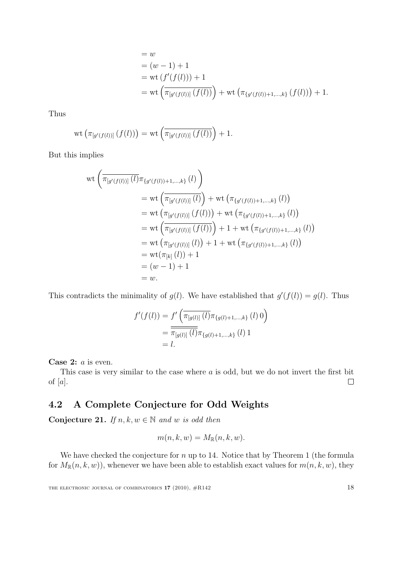= w  
\n= (w - 1) + 1  
\n= wt 
$$
(f'(f(l)))
$$
 + 1  
\n= wt  $(\pi_{[g'(f(l))]}(f(l)))$  + wt  $(\pi_{\{g'(f(l))+1,\dots,k\}}(f(l)))$  + 1.

Thus

$$
\operatorname{wt}(\pi_{[g'(f(l))]}(f(l))) = \operatorname{wt}(\overline{\pi_{[g'(f(l))]}(f(l))} + 1.
$$

But this implies

$$
wt\left(\pi_{[g'(f(l))]}(l)\pi_{\{g'(f(l))+1,\ldots,k\}}(l)\right)
$$
  
= wt\left(\pi\_{[g'(f(l))]}(l)\right) + wt\left(\pi\_{\{g'(f(l))+1,\ldots,k\}}(l)\right)  
= wt\left(\pi\_{[g'(f(l))]}(f(l))\right) + wt\left(\pi\_{\{g'(f(l))+1,\ldots,k\}}(l)\right)  
= wt\left(\pi\_{[g'(f(l))]}(f(l))\right) + 1 + wt\left(\pi\_{\{g'(f(l))+1,\ldots,k\}}(l)\right)  
= wt\left(\pi\_{[g'(f(l))]}(l)\right) + 1 + wt\left(\pi\_{\{g'(f(l))+1,\ldots,k\}}(l)\right)  
= wt(\pi\_{[k]}(l)) + 1  
= (w - 1) + 1  
= w.

This contradicts the minimality of  $g(l)$ . We have established that  $g'(f(l)) = g(l)$ . Thus

$$
f'(f(l)) = f'\left(\overline{\pi_{[g(l)]}(l)}\pi_{\{g(l)+1,\dots,k\}}(l) 0\right)
$$
  
= 
$$
\overline{\pi_{[g(l)]}(l)}\pi_{\{g(l)+1,\dots,k\}}(l) 1
$$
  
= l.

Case 2: *a* is even.

This case is very similar to the case where a is odd, but we do not invert the first bit of  $[a]$ .  $\Box$ 

### 4.2 A Complete Conjecture for Odd Weights

Conjecture 21. If  $n, k, w \in \mathbb{N}$  and w is odd then

$$
m(n, k, w) = M_{\mathbb{R}}(n, k, w).
$$

We have checked the conjecture for  $n$  up to 14. Notice that by Theorem 1 (the formula for  $M_{\mathbb{R}}(n, k, w)$ , whenever we have been able to establish exact values for  $m(n, k, w)$ , they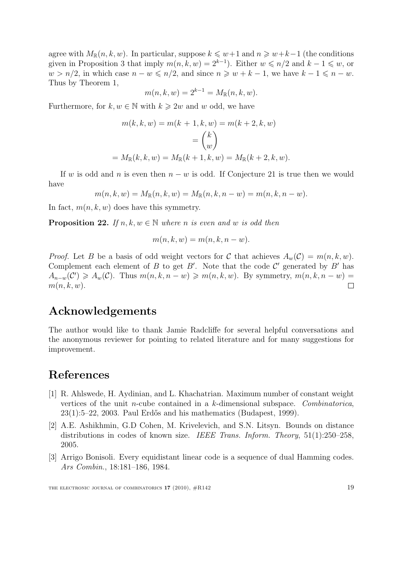agree with  $M_{\mathbb{R}}(n, k, w)$ . In particular, suppose  $k \leq w+1$  and  $n \geq w+k-1$  (the conditions given in Proposition 3 that imply  $m(n, k, w) = 2^{k-1}$ . Either  $w \le n/2$  and  $k-1 \le w$ , or  $w > n/2$ , in which case  $n - w \leq n/2$ , and since  $n \geq w + k - 1$ , we have  $k - 1 \leq n - w$ . Thus by Theorem 1,

$$
m(n, k, w) = 2^{k-1} = M_{\mathbb{R}}(n, k, w).
$$

Furthermore, for  $k, w \in \mathbb{N}$  with  $k \geq 2w$  and w odd, we have

$$
m(k, k, w) = m(k + 1, k, w) = m(k + 2, k, w)
$$

$$
= {k \choose w}
$$

$$
= M_{\mathbb{R}}(k, k, w) = M_{\mathbb{R}}(k + 1, k, w) = M_{\mathbb{R}}(k + 2, k, w).
$$

If w is odd and n is even then  $n - w$  is odd. If Conjecture 21 is true then we would have

 $m(n, k, w) = M_{\mathbb{R}}(n, k, w) = M_{\mathbb{R}}(n, k, n - w) = m(n, k, n - w).$ 

In fact,  $m(n, k, w)$  does have this symmetry.

**Proposition 22.** If  $n, k, w \in \mathbb{N}$  where n is even and w is odd then

$$
m(n,k,w) = m(n,k,n-w).
$$

*Proof.* Let B be a basis of odd weight vectors for C that achieves  $A_w(\mathcal{C}) = m(n, k, w)$ . Complement each element of B to get B'. Note that the code  $\mathcal{C}'$  generated by B' has  $A_{n-w}(\mathcal{C}') \geq A_w(\mathcal{C})$ . Thus  $m(n, k, n - w) \geq m(n, k, w)$ . By symmetry,  $m(n, k, n - w) =$  $m(n, k, w)$ .  $\Box$ 

### Acknowledgements

The author would like to thank Jamie Radcliffe for several helpful conversations and the anonymous reviewer for pointing to related literature and for many suggestions for improvement.

## References

- [1] R. Ahlswede, H. Aydinian, and L. Khachatrian. Maximum number of constant weight vertices of the unit n-cube contained in a k-dimensional subspace. Combinatorica,  $23(1):5-22$ , 2003. Paul Erdős and his mathematics (Budapest, 1999).
- [2] A.E. Ashikhmin, G.D Cohen, M. Krivelevich, and S.N. Litsyn. Bounds on distance distributions in codes of known size. IEEE Trans. Inform. Theory, 51(1):250–258, 2005.
- [3] Arrigo Bonisoli. Every equidistant linear code is a sequence of dual Hamming codes. Ars Combin., 18:181–186, 1984.